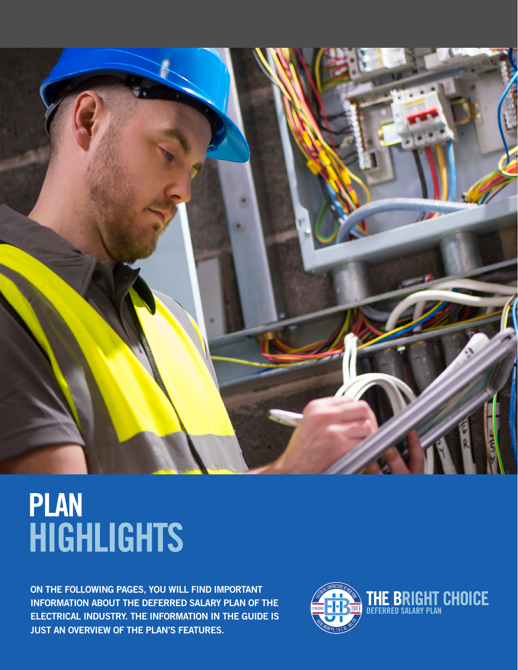

# PLAN HIGHLIGHTS

ON THE FOLLOWING PAGES, YOU WILL FIND IMPORTANT INFORMATION ABOUT THE DEFERRED SALARY PLAN OF THE ELECTRICAL INDUSTRY. THE INFORMATION IN THE GUIDE IS JUST AN OVERVIEW OF THE PLAN'S FEATURES.

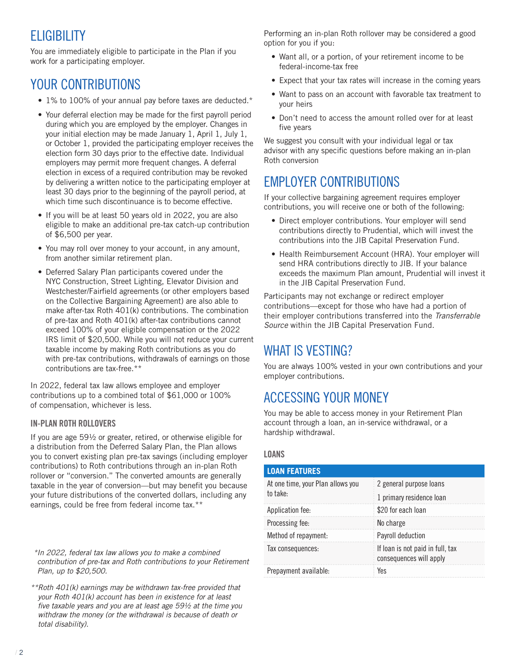# ELIGIBILITY

You are immediately eligible to participate in the Plan if you work for a participating employer.

# YOUR CONTRIBUTIONS

- 1% to 100% of your annual pay before taxes are deducted.\*
- Your deferral election may be made for the first payroll period during which you are employed by the employer. Changes in your initial election may be made January 1, April 1, July 1, or October 1, provided the participating employer receives the election form 30 days prior to the effective date. Individual employers may permit more frequent changes. A deferral election in excess of a required contribution may be revoked by delivering a written notice to the participating employer at least 30 days prior to the beginning of the payroll period, at which time such discontinuance is to become effective.
- If you will be at least 50 years old in 2022, you are also eligible to make an additional pre-tax catch-up contribution of \$6,500 per year.
- You may roll over money to your account, in any amount, from another similar retirement plan.
- Deferred Salary Plan participants covered under the NYC Construction, Street Lighting, Elevator Division and Westchester/Fairfield agreements (or other employers based on the Collective Bargaining Agreement) are also able to make after-tax Roth 401(k) contributions. The combination of pre-tax and Roth 401(k) after-tax contributions cannot exceed 100% of your eligible compensation or the 2022 IRS limit of \$20,500. While you will not reduce your current taxable income by making Roth contributions as you do with pre-tax contributions, withdrawals of earnings on those contributions are tax-free.\*\*

In 2022, federal tax law allows employee and employer contributions up to a combined total of \$61,000 or 100% of compensation, whichever is less.

## IN-PLAN ROTH ROLLOVERS

If you are age 59½ or greater, retired, or otherwise eligible for a distribution from the Deferred Salary Plan, the Plan allows you to convert existing plan pre-tax savings (including employer contributions) to Roth contributions through an in-plan Roth rollover or "conversion." The converted amounts are generally taxable in the year of conversion—but may benefit you because your future distributions of the converted dollars, including any earnings, could be free from federal income tax.\*\*

*\*In 2022, federal tax law allows you to make a combined contribution of pre-tax and Roth contributions to your Retirement Plan, up to \$20,500.*

*\*\*Roth 401(k) earnings may be withdrawn tax-free provided that your Roth 401(k) account has been in existence for at least five taxable years and you are at least age 59½ at the time you withdraw the money (or the withdrawal is because of death or total disability).*

Performing an in-plan Roth rollover may be considered a good option for you if you:

- Want all, or a portion, of your retirement income to be federal-income-tax free
- Expect that your tax rates will increase in the coming years
- Want to pass on an account with favorable tax treatment to your heirs
- Don't need to access the amount rolled over for at least five years

We suggest you consult with your individual legal or tax advisor with any specific questions before making an in-plan Roth conversion

# EMPLOYER CONTRIBUTIONS

If your collective bargaining agreement requires employer contributions, you will receive one or both of the following:

- Direct employer contributions. Your employer will send contributions directly to Prudential, which will invest the contributions into the JIB Capital Preservation Fund.
- Health Reimbursement Account (HRA). Your employer will send HRA contributions directly to JIB. If your balance exceeds the maximum Plan amount, Prudential will invest it in the JIB Capital Preservation Fund.

Participants may not exchange or redirect employer contributions—except for those who have had a portion of their employer contributions transferred into the *Transferrable Source* within the JIB Capital Preservation Fund.

# WHAT IS VESTING?

You are always 100% vested in your own contributions and your employer contributions.

# ACCESSING YOUR MONEY

You may be able to access money in your Retirement Plan account through a loan, an in-service withdrawal, or a hardship withdrawal.

### LOANS

| <b>LOAN FEATURES</b>                          |                                                             |
|-----------------------------------------------|-------------------------------------------------------------|
| At one time, your Plan allows you<br>to take: | 2 general purpose loans                                     |
|                                               | 1 primary residence loan                                    |
| Application fee:                              | \$20 for each loan                                          |
| Processing fee:                               | No charge                                                   |
| Method of repayment:                          | Payroll deduction                                           |
| Tax consequences:                             | If loan is not paid in full, tax<br>consequences will apply |
| Prepayment available:                         | Yes                                                         |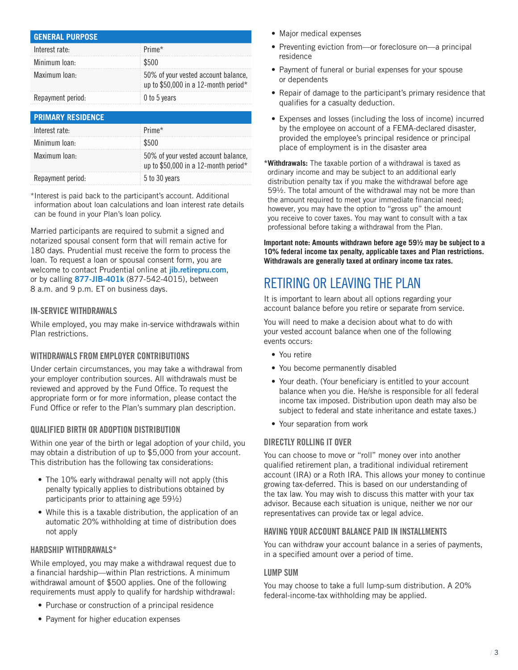| <b>GENERAL PURPOSE</b> |                                                                             |
|------------------------|-----------------------------------------------------------------------------|
| Interest rate:         | $\frac{1}{2}$ Prime*                                                        |
| Minimum Ioan:          | \$500                                                                       |
| Maximum Ioan:          | 50% of your vested account balance,<br>up to \$50,000 in a 12-month period* |
| Repayment period:      | 0 to 5 years                                                                |

| <b>PRIMARY RESIDENCE</b> |                                                                             |
|--------------------------|-----------------------------------------------------------------------------|
| Interest rate:           | $\pm$ Prime*                                                                |
| Minimum Ioan:            | \$500                                                                       |
| Maximum Ioan:            | 50% of your vested account balance,<br>up to \$50,000 in a 12-month period* |
| Repayment period:        | 5 to 30 years                                                               |

\*Interest is paid back to the participant's account. Additional information about loan calculations and loan interest rate details can be found in your Plan's loan policy.

Married participants are required to submit a signed and notarized spousal consent form that will remain active for 180 days. Prudential must receive the form to process the loan. To request a loan or spousal consent form, you are welcome to contact Prudential online at [jib.retirepru.com](http://jib.retirepru.com), or by calling 877-JIB-401k (877-542-4015), between 8 a.m. and 9 p.m. ET on business days.

#### IN-SERVICE WITHDRAWALS

While employed, you may make in-service withdrawals within Plan restrictions.

### WITHDRAWALS FROM EMPLOYER CONTRIBUTIONS

Under certain circumstances, you may take a withdrawal from your employer contribution sources. All withdrawals must be reviewed and approved by the Fund Office. To request the appropriate form or for more information, please contact the Fund Office or refer to the Plan's summary plan description.

### QUALIFIED BIRTH OR ADOPTION DISTRIBUTION

Within one year of the birth or legal adoption of your child, you may obtain a distribution of up to \$5,000 from your account. This distribution has the following tax considerations:

- The 10% early withdrawal penalty will not apply (this penalty typically applies to distributions obtained by participants prior to attaining age 59½)
- While this is a taxable distribution, the application of an automatic 20% withholding at time of distribution does not apply

#### HARDSHIP WITHDRAWALS\*

While employed, you may make a withdrawal request due to a financial hardship—within Plan restrictions. A minimum withdrawal amount of \$500 applies. One of the following requirements must apply to qualify for hardship withdrawal:

- Purchase or construction of a principal residence
- Payment for higher education expenses
- Major medical expenses
- Preventing eviction from—or foreclosure on—a principal residence
- Payment of funeral or burial expenses for your spouse or dependents
- Repair of damage to the participant's primary residence that qualifies for a casualty deduction.
- Expenses and losses (including the loss of income) incurred by the employee on account of a FEMA-declared disaster, provided the employee's principal residence or principal place of employment is in the disaster area

**\*Withdrawals:** The taxable portion of a withdrawal is taxed as ordinary income and may be subject to an additional early distribution penalty tax if you make the withdrawal before age 59½. The total amount of the withdrawal may not be more than the amount required to meet your immediate financial need; however, you may have the option to "gross up" the amount you receive to cover taxes. You may want to consult with a tax professional before taking a withdrawal from the Plan.

**Important note: Amounts withdrawn before age 59½ may be subject to a 10% federal income tax penalty, applicable taxes and Plan restrictions. Withdrawals are generally taxed at ordinary income tax rates.**

# RETIRING OR LEAVING THE PLAN

It is important to learn about all options regarding your account balance before you retire or separate from service.

You will need to make a decision about what to do with your vested account balance when one of the following events occurs:

- You retire
- You become permanently disabled
- Your death. (Your beneficiary is entitled to your account balance when you die. He/she is responsible for all federal income tax imposed. Distribution upon death may also be subject to federal and state inheritance and estate taxes.)
- Your separation from work

### DIRECTLY ROLLING IT OVER

You can choose to move or "roll" money over into another qualified retirement plan, a traditional individual retirement account (IRA) or a Roth IRA. This allows your money to continue growing tax-deferred. This is based on our understanding of the tax law. You may wish to discuss this matter with your tax advisor. Because each situation is unique, neither we nor our representatives can provide tax or legal advice.

#### HAVING YOUR ACCOUNT BALANCE PAID IN INSTALLMENTS

You can withdraw your account balance in a series of payments, in a specified amount over a period of time.

#### LUMP SUM

You may choose to take a full lump-sum distribution. A 20% federal-income-tax withholding may be applied.